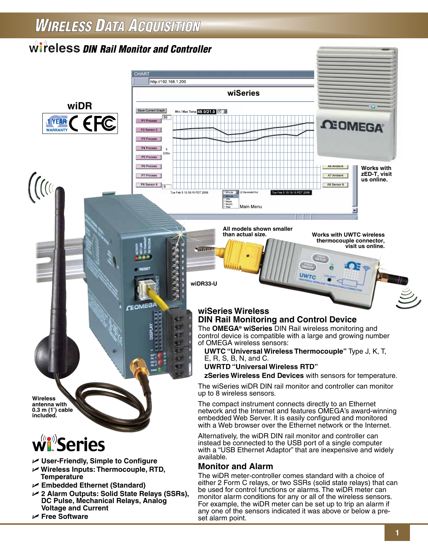## **WIRELESS DATA ACQUISITION**

### **Wireless DIN Rail Monitor and Controller**

**CHART** 

**GEOMEG** 



**Wireless antenna with 0.3 m (1') cable included.**

# w Series

- U **User-Friendly, Simple to Configure**
- U **Wireless Inputs: Thermocouple, RTD, Temperature**
- U **Embedded Ethernet (Standard)**
- U **2 Alarm Outputs: Solid State Relays (SSRs), DC Pulse, Mechanical Relays, Analog Voltage and Current**
- U **Free Software**



**All models shown smaller** 

**wiDR33-U**

**than actual size. Works with UWTC wireless thermocouple connector, visit us online.**

#### **wiSeries Wireless DIN Rail Monitoring and Control Device**

The **OMEGA® wiSeries** DIN Rail wireless monitoring and control device is compatible with a large and growing number of OMEGA wireless sensors:

UWTO

**UWTC "Universal Wireless Thermocouple"** Type J, K, T, E, R, S, B, N, and C.

**UWRTD "Universal Wireless RTD"** 

**zSeries Wireless End Devices** with sensors for temperature.

The wiSeries wiDR DIN rail monitor and controller can monitor up to 8 wireless sensors.

The compact instrument connects directly to an Ethernet network and the Internet and features OMEGA's award-winning embedded Web Server. It is easily configured and monitored with a Web browser over the Ethernet network or the Internet.

Alternatively, the wiDR DIN rail monitor and controller can instead be connected to the USB port of a single computer with a "USB Ethernet Adaptor" that are inexpensive and widely available.

#### **Monitor and Alarm**

The wiDR meter-controller comes standard with a choice of either 2 Form C relays, or two SSRs (solid state relays) that can be used for control functions or alarms. The wiDR meter can monitor alarm conditions for any or all of the wireless sensors. For example, the wiDR meter can be set up to trip an alarm if any one of the sensors indicated it was above or below a preset alarm point.